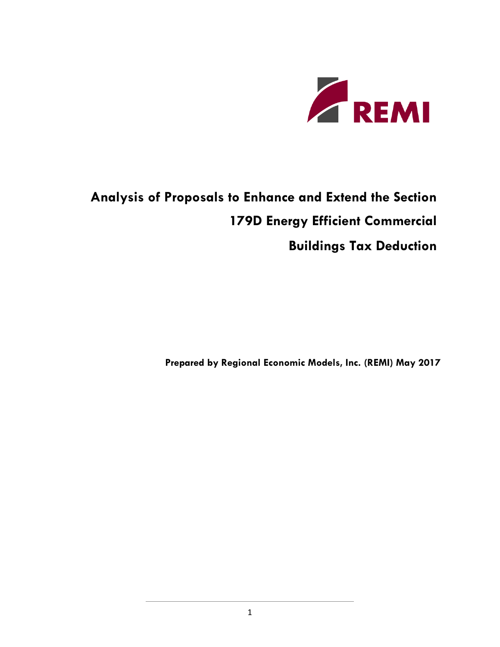

# **Analysis of Proposals to Enhance and Extend the Section 179D Energy Efficient Commercial Buildings Tax Deduction**

**Prepared by Regional Economic Models, Inc. (REMI) May 2017**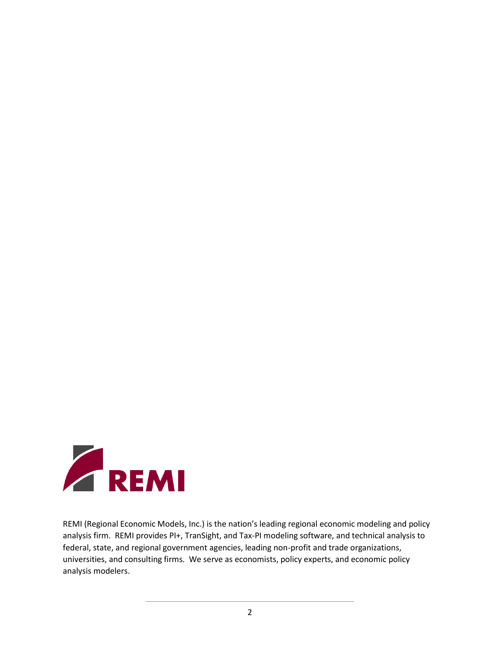

REMI (Regional Economic Models, Inc.) is the nation's leading regional economic modeling and policy analysis firm. REMI provides PI+, TranSight, and Tax-PI modeling software, and technical analysis to federal, state, and regional government agencies, leading non-profit and trade organizations, universities, and consulting firms. We serve as economists, policy experts, and economic policy analysis modelers.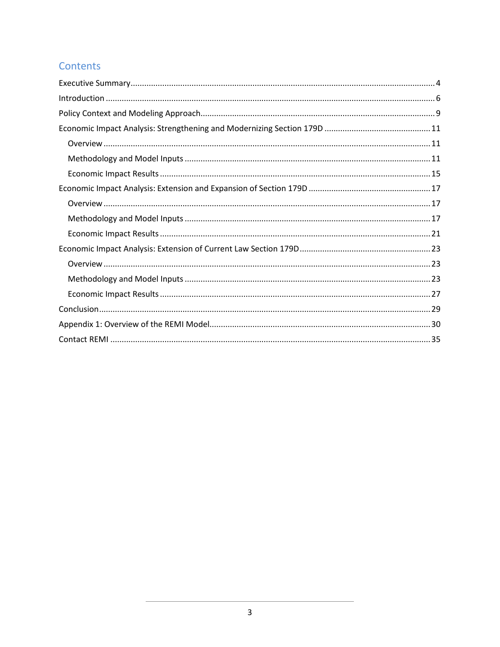# Contents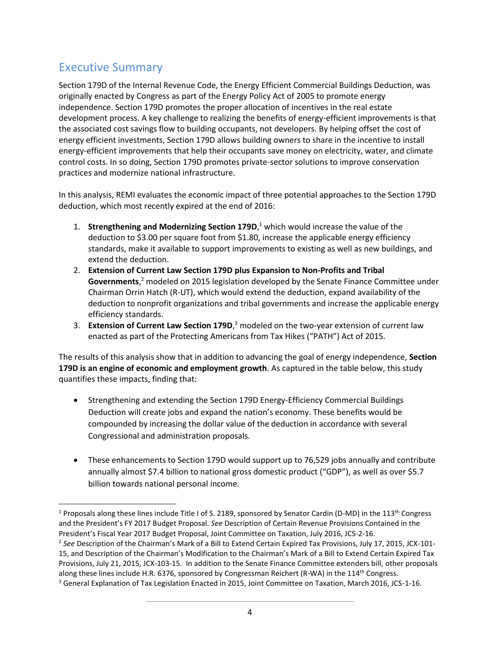# Executive Summary

 $\overline{\phantom{a}}$ 

Section 179D of the Internal Revenue Code, the Energy Efficient Commercial Buildings Deduction, was originally enacted by Congress as part of the Energy Policy Act of 2005 to promote energy independence. Section 179D promotes the proper allocation of incentives in the real estate development process. A key challenge to realizing the benefits of energy-efficient improvements is that the associated cost savings flow to building occupants, not developers. By helping offset the cost of energy efficient investments, Section 179D allows building owners to share in the incentive to install energy-efficient improvements that help their occupants save money on electricity, water, and climate control costs. In so doing, Section 179D promotes private-sector solutions to improve conservation practices and modernize national infrastructure.

In this analysis, REMI evaluates the economic impact of three potential approaches to the Section 179D deduction, which most recently expired at the end of 2016:

- 1. **Strengthening and Modernizing Section 179D**, <sup>1</sup> which would increase the value of the deduction to \$3.00 per square foot from \$1.80, increase the applicable energy efficiency standards, make it available to support improvements to existing as well as new buildings, and extend the deduction.
- 2. **Extension of Current Law Section 179D plus Expansion to Non-Profits and Tribal Governments**, <sup>2</sup> modeled on 2015 legislation developed by the Senate Finance Committee under Chairman Orrin Hatch (R-UT), which would extend the deduction, expand availability of the deduction to nonprofit organizations and tribal governments and increase the applicable energy efficiency standards.
- 3. **Extension of Current Law Section 179D**, <sup>3</sup> modeled on the two-year extension of current law enacted as part of the Protecting Americans from Tax Hikes ("PATH") Act of 2015.

The results of this analysis show that in addition to advancing the goal of energy independence, **Section 179D is an engine of economic and employment growth**. As captured in the table below, this study quantifies these impacts, finding that:

- Strengthening and extending the Section 179D Energy-Efficiency Commercial Buildings Deduction will create jobs and expand the nation's economy. These benefits would be compounded by increasing the dollar value of the deduction in accordance with several Congressional and administration proposals.
- These enhancements to Section 179D would support up to 76,529 jobs annually and contribute annually almost \$7.4 billion to national gross domestic product ("GDP"), as well as over \$5.7 billion towards national personal income.

<sup>&</sup>lt;sup>1</sup> Proposals along these lines include Title I of S. 2189, sponsored by Senator Cardin (D-MD) in the 113<sup>th</sup> Congress and the President's FY 2017 Budget Proposal. *See* Description of Certain Revenue Provisions Contained in the President's Fiscal Year 2017 Budget Proposal, Joint Committee on Taxation, July 2016, JCS-2-16.

<sup>2</sup> *See* Description of the Chairman's Mark of a Bill to Extend Certain Expired Tax Provisions, July 17, 2015, JCX-101- 15, and Description of the Chairman's Modification to the Chairman's Mark of a Bill to Extend Certain Expired Tax Provisions, July 21, 2015, JCX-103-15. In addition to the Senate Finance Committee extenders bill, other proposals along these lines include H.R. 6376, sponsored by Congressman Reichert (R-WA) in the  $114<sup>th</sup>$  Congress.

<sup>&</sup>lt;sup>3</sup> General Explanation of Tax Legislation Enacted in 2015, Joint Committee on Taxation, March 2016, JCS-1-16.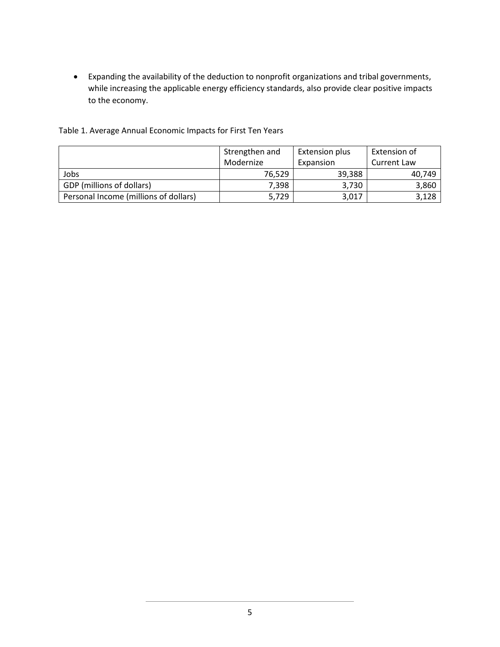Expanding the availability of the deduction to nonprofit organizations and tribal governments, while increasing the applicable energy efficiency standards, also provide clear positive impacts to the economy.

Table 1. Average Annual Economic Impacts for First Ten Years

|                                       | Strengthen and | <b>Extension plus</b> | Extension of       |
|---------------------------------------|----------------|-----------------------|--------------------|
|                                       | Modernize      | Expansion             | <b>Current Law</b> |
| Jobs                                  | 76,529         | 39,388                | 40,749             |
| GDP (millions of dollars)             | 7.398          | 3,730                 | 3,860              |
| Personal Income (millions of dollars) | 5,729          | 3,017                 | 3,128              |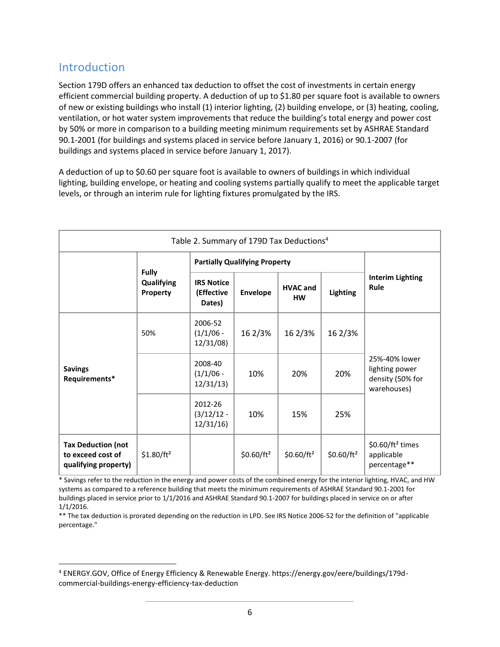# Introduction

l

Section 179D offers an enhanced tax deduction to offset the cost of investments in certain energy efficient commercial building property. A deduction of up to \$1.80 per square foot is available to owners of new or existing buildings who install (1) interior lighting, (2) building envelope, or (3) heating, cooling, ventilation, or hot water system improvements that reduce the building's total energy and power cost by 50% or more in comparison to a building meeting minimum requirements set by ASHRAE Standard 90.1-2001 (for buildings and systems placed in service before January 1, 2016) or 90.1-2007 (for buildings and systems placed in service before January 1, 2017).

A deduction of up to \$0.60 per square foot is available to owners of buildings in which individual lighting, building envelope, or heating and cooling systems partially qualify to meet the applicable target levels, or through an interim rule for lighting fixtures promulgated by the IRS.

| Table 2. Summary of 179D Tax Deductions <sup>4</sup>                   |                                        |                                           |                                      |                              |                 |                                                                    |  |  |  |  |  |
|------------------------------------------------------------------------|----------------------------------------|-------------------------------------------|--------------------------------------|------------------------------|-----------------|--------------------------------------------------------------------|--|--|--|--|--|
|                                                                        |                                        |                                           | <b>Partially Qualifying Property</b> |                              |                 |                                                                    |  |  |  |  |  |
|                                                                        | <b>Fully</b><br>Qualifying<br>Property | <b>IRS Notice</b><br>(Effective<br>Dates) | <b>Envelope</b>                      | <b>HVAC and</b><br><b>HW</b> | <b>Lighting</b> | <b>Interim Lighting</b><br>Rule                                    |  |  |  |  |  |
| <b>Savings</b><br>Requirements*                                        | 50%                                    | 2006-52<br>$(1/1/06 -$<br>12/31/08)       | 16 2/3%                              | 16 2/3%                      | 16 2/3%         |                                                                    |  |  |  |  |  |
|                                                                        |                                        | 2008-40<br>$(1/1/06 -$<br>12/31/13        | 10%                                  | 20%                          | 20%             | 25%-40% lower<br>lighting power<br>density (50% for<br>warehouses) |  |  |  |  |  |
|                                                                        |                                        | 2012-26<br>$(3/12/12 -$<br>12/31/16       | 10%                                  | 15%                          | 25%             |                                                                    |  |  |  |  |  |
| <b>Tax Deduction (not</b><br>to exceed cost of<br>qualifying property) | $$1.80/ft^2$                           |                                           | $$0.60/ft^2$$                        | \$0.60/ft <sup>2</sup>       | $$0.60/ft^2$$   | $$0.60/ft^2$ times<br>applicable<br>percentage**                   |  |  |  |  |  |

\* Savings refer to the reduction in the energy and power costs of the combined energy for the interior lighting, HVAC, and HW systems as compared to a reference building that meets the minimum requirements of ASHRAE Standard 90.1-2001 for buildings placed in service prior to 1/1/2016 and ASHRAE Standard 90.1-2007 for buildings placed in service on or after 1/1/2016.

\*\* The tax deduction is prorated depending on the reduction in LPD. See IRS Notice 2006-52 for the definition of "applicable percentage."

<sup>4</sup> ENERGY.GOV, Office of Energy Efficiency & Renewable Energy. https://energy.gov/eere/buildings/179dcommercial-buildings-energy-efficiency-tax-deduction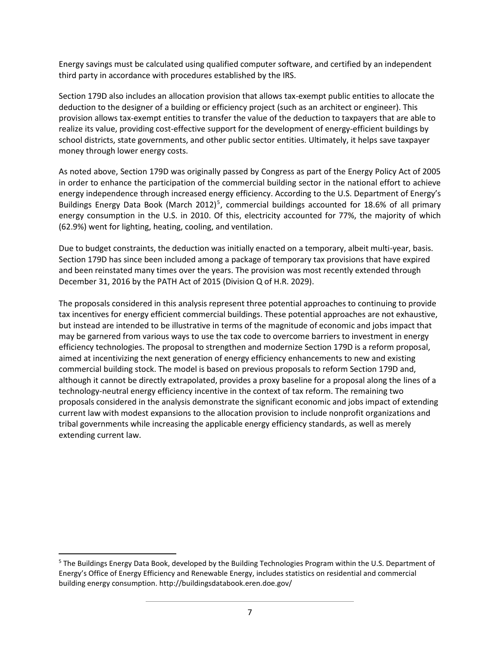Energy savings must be calculated using qualified computer software, and certified by an independent third party in accordance with procedures established by the IRS.

Section 179D also includes an allocation provision that allows tax-exempt public entities to allocate the deduction to the designer of a building or efficiency project (such as an architect or engineer). This provision allows tax-exempt entities to transfer the value of the deduction to taxpayers that are able to realize its value, providing cost-effective support for the development of energy-efficient buildings by school districts, state governments, and other public sector entities. Ultimately, it helps save taxpayer money through lower energy costs.

As noted above, Section 179D was originally passed by Congress as part of the Energy Policy Act of 2005 in order to enhance the participation of the commercial building sector in the national effort to achieve energy independence through increased energy efficiency. According to the U.S. Department of Energy's Buildings Energy Data Book (March 2012)<sup>5</sup>, commercial buildings accounted for 18.6% of all primary energy consumption in the U.S. in 2010. Of this, electricity accounted for 77%, the majority of which (62.9%) went for lighting, heating, cooling, and ventilation.

Due to budget constraints, the deduction was initially enacted on a temporary, albeit multi-year, basis. Section 179D has since been included among a package of temporary tax provisions that have expired and been reinstated many times over the years. The provision was most recently extended through December 31, 2016 by the PATH Act of 2015 (Division Q of H.R. 2029).

The proposals considered in this analysis represent three potential approaches to continuing to provide tax incentives for energy efficient commercial buildings. These potential approaches are not exhaustive, but instead are intended to be illustrative in terms of the magnitude of economic and jobs impact that may be garnered from various ways to use the tax code to overcome barriers to investment in energy efficiency technologies. The proposal to strengthen and modernize Section 179D is a reform proposal, aimed at incentivizing the next generation of energy efficiency enhancements to new and existing commercial building stock. The model is based on previous proposals to reform Section 179D and, although it cannot be directly extrapolated, provides a proxy baseline for a proposal along the lines of a technology-neutral energy efficiency incentive in the context of tax reform. The remaining two proposals considered in the analysis demonstrate the significant economic and jobs impact of extending current law with modest expansions to the allocation provision to include nonprofit organizations and tribal governments while increasing the applicable energy efficiency standards, as well as merely extending current law.

 $\overline{\phantom{a}}$ 

<sup>5</sup> The Buildings Energy Data Book, developed by the Building Technologies Program within the U.S. Department of Energy's Office of Energy Efficiency and Renewable Energy, includes statistics on residential and commercial building energy consumption. http://buildingsdatabook.eren.doe.gov/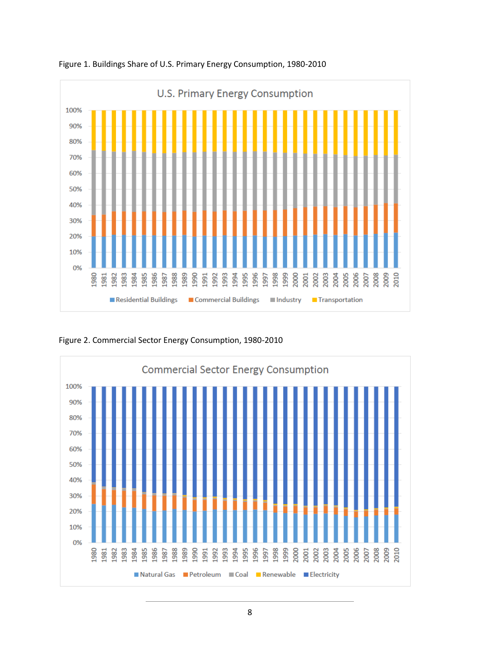



Figure 2. Commercial Sector Energy Consumption, 1980-2010

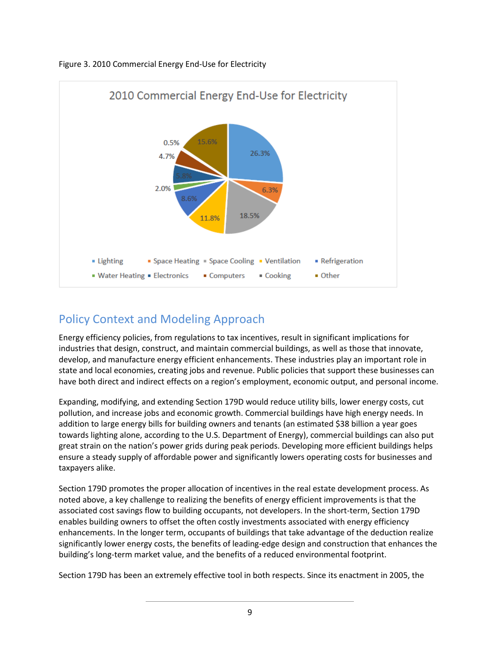

Figure 3. 2010 Commercial Energy End-Use for Electricity

# Policy Context and Modeling Approach

Energy efficiency policies, from regulations to tax incentives, result in significant implications for industries that design, construct, and maintain commercial buildings, as well as those that innovate, develop, and manufacture energy efficient enhancements. These industries play an important role in state and local economies, creating jobs and revenue. Public policies that support these businesses can have both direct and indirect effects on a region's employment, economic output, and personal income.

Expanding, modifying, and extending Section 179D would reduce utility bills, lower energy costs, cut pollution, and increase jobs and economic growth. Commercial buildings have high energy needs. In addition to large energy bills for building owners and tenants (an estimated \$38 billion a year goes towards lighting alone, according to the U.S. Department of Energy), commercial buildings can also put great strain on the nation's power grids during peak periods. Developing more efficient buildings helps ensure a steady supply of affordable power and significantly lowers operating costs for businesses and taxpayers alike.

Section 179D promotes the proper allocation of incentives in the real estate development process. As noted above, a key challenge to realizing the benefits of energy efficient improvements is that the associated cost savings flow to building occupants, not developers. In the short-term, Section 179D enables building owners to offset the often costly investments associated with energy efficiency enhancements. In the longer term, occupants of buildings that take advantage of the deduction realize significantly lower energy costs, the benefits of leading-edge design and construction that enhances the building's long-term market value, and the benefits of a reduced environmental footprint.

Section 179D has been an extremely effective tool in both respects. Since its enactment in 2005, the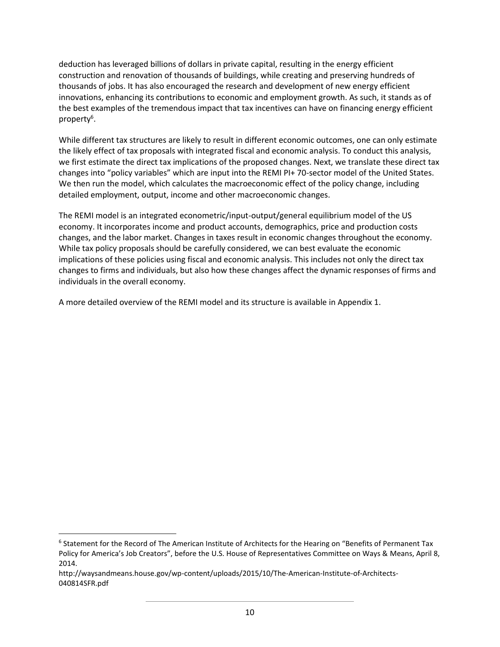deduction has leveraged billions of dollars in private capital, resulting in the energy efficient construction and renovation of thousands of buildings, while creating and preserving hundreds of thousands of jobs. It has also encouraged the research and development of new energy efficient innovations, enhancing its contributions to economic and employment growth. As such, it stands as of the best examples of the tremendous impact that tax incentives can have on financing energy efficient property<sup>6</sup>.

While different tax structures are likely to result in different economic outcomes, one can only estimate the likely effect of tax proposals with integrated fiscal and economic analysis. To conduct this analysis, we first estimate the direct tax implications of the proposed changes. Next, we translate these direct tax changes into "policy variables" which are input into the REMI PI+ 70-sector model of the United States. We then run the model, which calculates the macroeconomic effect of the policy change, including detailed employment, output, income and other macroeconomic changes.

The REMI model is an integrated econometric/input-output/general equilibrium model of the US economy. It incorporates income and product accounts, demographics, price and production costs changes, and the labor market. Changes in taxes result in economic changes throughout the economy. While tax policy proposals should be carefully considered, we can best evaluate the economic implications of these policies using fiscal and economic analysis. This includes not only the direct tax changes to firms and individuals, but also how these changes affect the dynamic responses of firms and individuals in the overall economy.

A more detailed overview of the REMI model and its structure is available in Appendix 1.

l

<sup>6</sup> Statement for the Record of The American Institute of Architects for the Hearing on "Benefits of Permanent Tax Policy for America's Job Creators", before the U.S. House of Representatives Committee on Ways & Means, April 8, 2014.

http://waysandmeans.house.gov/wp-content/uploads/2015/10/The-American-Institute-of-Architects-040814SFR.pdf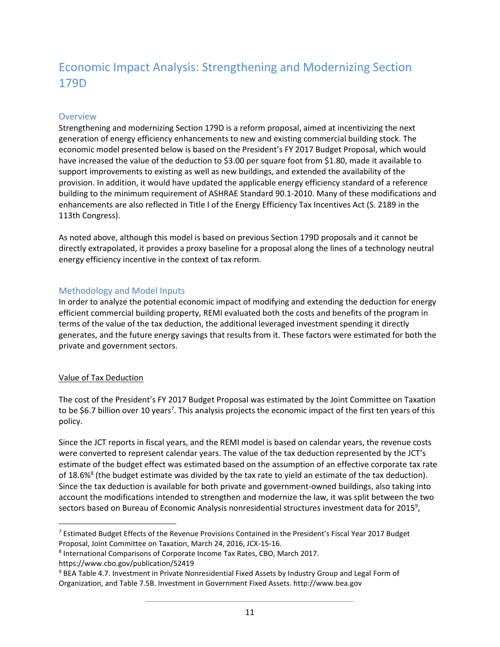# Economic Impact Analysis: Strengthening and Modernizing Section 179D

### **Overview**

Strengthening and modernizing Section 179D is a reform proposal, aimed at incentivizing the next generation of energy efficiency enhancements to new and existing commercial building stock. The economic model presented below is based on the President's FY 2017 Budget Proposal, which would have increased the value of the deduction to \$3.00 per square foot from \$1.80, made it available to support improvements to existing as well as new buildings, and extended the availability of the provision. In addition, it would have updated the applicable energy efficiency standard of a reference building to the minimum requirement of ASHRAE Standard 90.1-2010. Many of these modifications and enhancements are also reflected in Title I of the Energy Efficiency Tax Incentives Act (S. 2189 in the 113th Congress).

As noted above, although this model is based on previous Section 179D proposals and it cannot be directly extrapolated, it provides a proxy baseline for a proposal along the lines of a technology neutral energy efficiency incentive in the context of tax reform.

### Methodology and Model Inputs

In order to analyze the potential economic impact of modifying and extending the deduction for energy efficient commercial building property, REMI evaluated both the costs and benefits of the program in terms of the value of the tax deduction, the additional leveraged investment spending it directly generates, and the future energy savings that results from it. These factors were estimated for both the private and government sectors.

### Value of Tax Deduction

 $\overline{a}$ 

The cost of the President's FY 2017 Budget Proposal was estimated by the Joint Committee on Taxation to be \$6.7 billion over 10 years<sup>7</sup>. This analysis projects the economic impact of the first ten years of this policy.

Since the JCT reports in fiscal years, and the REMI model is based on calendar years, the revenue costs were converted to represent calendar years. The value of the tax deduction represented by the JCT's estimate of the budget effect was estimated based on the assumption of an effective corporate tax rate of 18.6%<sup>8</sup> (the budget estimate was divided by the tax rate to yield an estimate of the tax deduction). Since the tax deduction is available for both private and government-owned buildings, also taking into account the modifications intended to strengthen and modernize the law, it was split between the two sectors based on Bureau of Economic Analysis nonresidential structures investment data for 2015<sup>9</sup>,

<sup>&</sup>lt;sup>7</sup> Estimated Budget Effects of the Revenue Provisions Contained in the President's Fiscal Year 2017 Budget Proposal, Joint Committee on Taxation, March 24, 2016, JCX-15-16.

<sup>8</sup> International Comparisons of Corporate Income Tax Rates, CBO, March 2017.

https://www.cbo.gov/publication/52419

<sup>9</sup> BEA Table 4.7. Investment in Private Nonresidential Fixed Assets by Industry Group and Legal Form of Organization, and Table 7.5B. Investment in Government Fixed Assets. http://www.bea.gov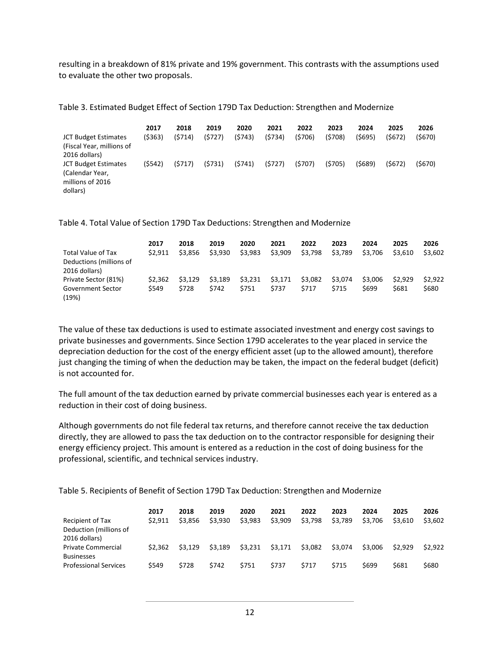resulting in a breakdown of 81% private and 19% government. This contrasts with the assumptions used to evaluate the other two proposals.

| <b>JCT Budget Estimates</b><br>(Fiscal Year, millions of<br>2016 dollars)      | 2017<br>(\$363) | 2018<br>(\$714) | 2019<br>(\$727) | 2020<br>(\$743) | 2021<br>(\$734) | 2022<br>(\$706) | 2023<br>(\$708) | 2024<br>(\$695) | 2025<br>(\$672) | 2026<br>(\$670) |
|--------------------------------------------------------------------------------|-----------------|-----------------|-----------------|-----------------|-----------------|-----------------|-----------------|-----------------|-----------------|-----------------|
| <b>JCT Budget Estimates</b><br>(Calendar Year,<br>millions of 2016<br>dollars) | (\$542)         | (\$717)         | (\$731)         | (\$741)         | (5727)          | (\$707)         | (\$705)         | (\$689)         | (\$672)         | (\$670)         |

Table 3. Estimated Budget Effect of Section 179D Tax Deduction: Strengthen and Modernize

Table 4. Total Value of Section 179D Tax Deductions: Strengthen and Modernize

|                                                                | 2017    | 2018    | 2019    | 2020    | 2021    | 2022    | 2023    | 2024    | 2025    | 2026    |
|----------------------------------------------------------------|---------|---------|---------|---------|---------|---------|---------|---------|---------|---------|
| Total Value of Tax<br>Deductions (millions of<br>2016 dollars) | \$2.911 | \$3.856 | \$3,930 | \$3.983 | \$3,909 | \$3,798 | \$3,789 | \$3,706 | \$3.610 | \$3.602 |
| Private Sector (81%)                                           | \$2.362 | \$3.129 | \$3.189 | \$3.231 | \$3.171 | \$3.082 | \$3.074 | \$3,006 | \$2.929 | \$2.922 |
| <b>Government Sector</b><br>(19%)                              | \$549   | \$728   | \$742   | \$751   | \$737   | \$717   | \$715   | \$699   | \$681   | \$680   |

The value of these tax deductions is used to estimate associated investment and energy cost savings to private businesses and governments. Since Section 179D accelerates to the year placed in service the depreciation deduction for the cost of the energy efficient asset (up to the allowed amount), therefore just changing the timing of when the deduction may be taken, the impact on the federal budget (deficit) is not accounted for.

The full amount of the tax deduction earned by private commercial businesses each year is entered as a reduction in their cost of doing business.

Although governments do not file federal tax returns, and therefore cannot receive the tax deduction directly, they are allowed to pass the tax deduction on to the contractor responsible for designing their energy efficiency project. This amount is entered as a reduction in the cost of doing business for the professional, scientific, and technical services industry.

Table 5. Recipients of Benefit of Section 179D Tax Deduction: Strengthen and Modernize

| Recipient of Tax<br>Deduction (millions of<br>2016 dollars) | 2017<br>\$2.911 | 2018<br>\$3.856 | 2019<br>\$3.930 | 2020<br>\$3,983 | 2021<br>\$3,909 | 2022<br>\$3,798 | 2023<br>\$3,789 | 2024<br>\$3.706 | 2025<br>\$3.610 | 2026<br>\$3.602 |
|-------------------------------------------------------------|-----------------|-----------------|-----------------|-----------------|-----------------|-----------------|-----------------|-----------------|-----------------|-----------------|
| <b>Private Commercial</b><br><b>Businesses</b>              | \$2.362         | \$3.129         | \$3.189         | \$3.231         | \$3,171         | \$3,082         | \$3.074         | \$3,006         | \$2.929         | \$2.922         |
| <b>Professional Services</b>                                | \$549           | \$728           | \$742           | \$751           | \$737           | \$717           | \$715           | \$699           | \$681           | \$680           |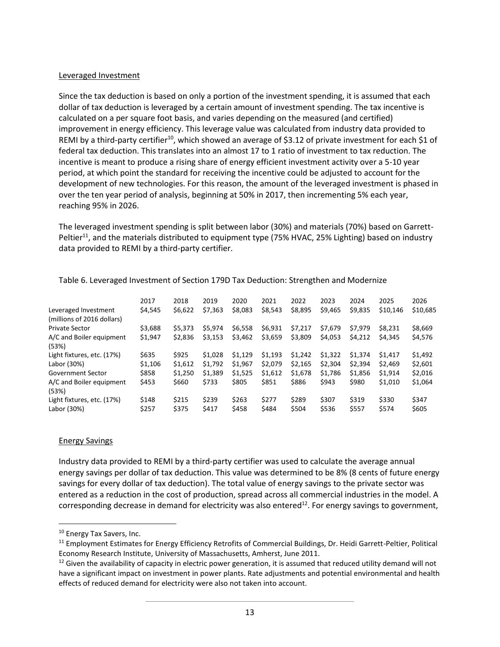### Leveraged Investment

Since the tax deduction is based on only a portion of the investment spending, it is assumed that each dollar of tax deduction is leveraged by a certain amount of investment spending. The tax incentive is calculated on a per square foot basis, and varies depending on the measured (and certified) improvement in energy efficiency. This leverage value was calculated from industry data provided to REMI by a third-party certifier<sup>10</sup>, which showed an average of \$3.12 of private investment for each \$1 of federal tax deduction. This translates into an almost 17 to 1 ratio of investment to tax reduction. The incentive is meant to produce a rising share of energy efficient investment activity over a 5-10 year period, at which point the standard for receiving the incentive could be adjusted to account for the development of new technologies. For this reason, the amount of the leveraged investment is phased in over the ten year period of analysis, beginning at 50% in 2017, then incrementing 5% each year, reaching 95% in 2026.

The leveraged investment spending is split between labor (30%) and materials (70%) based on Garrett-Peltier<sup>11</sup>, and the materials distributed to equipment type (75% HVAC, 25% Lighting) based on industry data provided to REMI by a third-party certifier.

|                                                    | 2017    | 2018    | 2019    | 2020    | 2021    | 2022    | 2023    | 2024    | 2025     | 2026     |
|----------------------------------------------------|---------|---------|---------|---------|---------|---------|---------|---------|----------|----------|
| Leveraged Investment<br>(millions of 2016 dollars) | \$4,545 | \$6,622 | \$7,363 | \$8,083 | \$8,543 | \$8,895 | \$9,465 | \$9,835 | \$10,146 | \$10,685 |
| <b>Private Sector</b>                              | \$3,688 | \$5.373 | \$5.974 | \$6.558 | \$6.931 | \$7.217 | \$7.679 | \$7.979 | \$8.231  | \$8,669  |
| A/C and Boiler equipment<br>(53%)                  | \$1,947 | \$2.836 | \$3,153 | \$3,462 | \$3,659 | \$3,809 | \$4,053 | \$4,212 | \$4,345  | \$4,576  |
| Light fixtures, etc. (17%)                         | \$635   | \$925   | \$1.028 | \$1.129 | \$1.193 | \$1.242 | \$1.322 | \$1.374 | \$1.417  | \$1,492  |
| Labor (30%)                                        | \$1.106 | \$1,612 | \$1.792 | \$1.967 | \$2.079 | \$2.165 | \$2.304 | \$2.394 | \$2.469  | \$2,601  |
| Government Sector                                  | \$858   | \$1.250 | \$1,389 | \$1,525 | \$1,612 | \$1,678 | \$1,786 | \$1,856 | \$1,914  | \$2,016  |
| A/C and Boiler equipment<br>(53%)                  | \$453   | \$660   | \$733   | \$805   | \$851   | \$886   | \$943   | \$980   | \$1,010  | \$1,064  |
| Light fixtures, etc. (17%)                         | \$148   | \$215   | \$239   | \$263   | \$277   | \$289   | \$307   | \$319   | \$330    | \$347    |
| Labor (30%)                                        | \$257   | \$375   | \$417   | \$458   | \$484   | \$504   | \$536   | \$557   | \$574    | \$605    |

Table 6. Leveraged Investment of Section 179D Tax Deduction: Strengthen and Modernize

### Energy Savings

 $\overline{a}$ 

Industry data provided to REMI by a third-party certifier was used to calculate the average annual energy savings per dollar of tax deduction. This value was determined to be 8% (8 cents of future energy savings for every dollar of tax deduction). The total value of energy savings to the private sector was entered as a reduction in the cost of production, spread across all commercial industries in the model. A corresponding decrease in demand for electricity was also entered<sup>12</sup>. For energy savings to government,

<sup>&</sup>lt;sup>10</sup> Energy Tax Savers, Inc.

<sup>&</sup>lt;sup>11</sup> Employment Estimates for Energy Efficiency Retrofits of Commercial Buildings, Dr. Heidi Garrett-Peltier, Political Economy Research Institute, University of Massachusetts, Amherst, June 2011.

 $12$  Given the availability of capacity in electric power generation, it is assumed that reduced utility demand will not have a significant impact on investment in power plants. Rate adjustments and potential environmental and health effects of reduced demand for electricity were also not taken into account.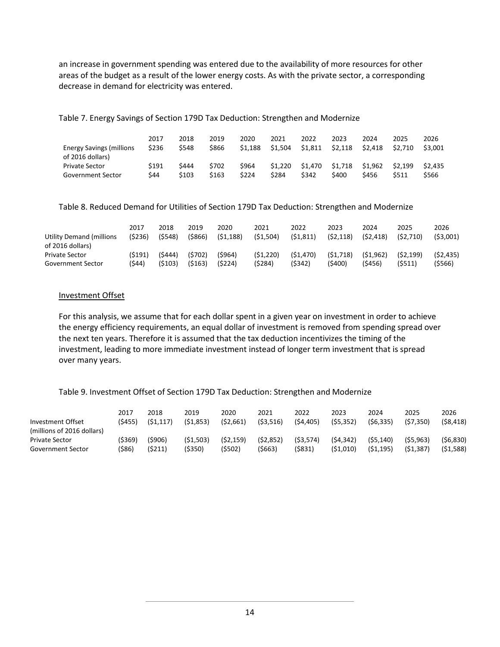an increase in government spending was entered due to the availability of more resources for other areas of the budget as a result of the lower energy costs. As with the private sector, a corresponding decrease in demand for electricity was entered.

Table 7. Energy Savings of Section 179D Tax Deduction: Strengthen and Modernize

|                                                     | 2017  | 2018  | 2019  | 2020    | 2021    | 2022    | 2023    | 2024    | 2025    | 2026    |
|-----------------------------------------------------|-------|-------|-------|---------|---------|---------|---------|---------|---------|---------|
| <b>Energy Savings (millions</b><br>of 2016 dollars) | \$236 | \$548 | \$866 | \$1.188 | \$1,504 | \$1.811 | \$2.118 | \$2,418 | \$2.710 | \$3.001 |
| <b>Private Sector</b>                               | \$191 | \$444 | \$702 | \$964   | \$1.220 | \$1.470 | \$1,718 | \$1.962 | \$2.199 | \$2,435 |
| <b>Government Sector</b>                            | S44   | \$103 | \$163 | \$224   | \$284   | \$342   | \$400   | S456    | S511    | S566    |

Table 8. Reduced Demand for Utilities of Section 179D Tax Deduction: Strengthen and Modernize

| <b>Utility Demand (millions)</b> | 2017    | 2018    | 2019    | 2020      | 2021     | 2022      | 2023      | 2024     | 2025      | 2026     |
|----------------------------------|---------|---------|---------|-----------|----------|-----------|-----------|----------|-----------|----------|
| of 2016 dollars)                 | (\$236) | (\$548) | (\$866) | (51, 188) | (51,504) | (51, 811) | (52, 118) | (52.418) | (52.710)  | (53.001) |
| <b>Private Sector</b>            | (\$191) | (5444)  | (5702)  | (5964)    | (51.220) | (51.470)  | (51,718)  | (51,962) | (52, 199) | (52.435) |
| Government Sector                | (\$44)  | (\$103) | (5163)  | (S224)    | (\$284)  | (\$342)   | (\$400)   | (\$456)  | (\$511)   | (S566)   |

### Investment Offset

For this analysis, we assume that for each dollar spent in a given year on investment in order to achieve the energy efficiency requirements, an equal dollar of investment is removed from spending spread over the next ten years. Therefore it is assumed that the tax deduction incentivizes the timing of the investment, leading to more immediate investment instead of longer term investment that is spread over many years.

Table 9. Investment Offset of Section 179D Tax Deduction: Strengthen and Modernize

|                                                 | 2017    | 2018     | 2019      | 2020     | 2021<br>(53.516) | 2022      | 2023      | 2024      | 2025<br>(57.350) | 2026      |
|-------------------------------------------------|---------|----------|-----------|----------|------------------|-----------|-----------|-----------|------------------|-----------|
| Investment Offset<br>(millions of 2016 dollars) | (\$455) | (51.117) | (\$1.853) | (52,661) |                  | (54, 405) | (55, 352) | (56, 335) |                  | (\$8,418) |
| <b>Private Sector</b>                           | (\$369) | (\$906)  | (51.503)  | (52.159) | (52.852)         | (53, 574) | (54, 342) | (55.140)  | (55.963)         | (56.830)  |
| <b>Government Sector</b>                        | '\$86)  | (\$211)  | (\$350)   | (5502)   | (5663)           | (\$831)   | (51,010)  | (51, 195) | (51.387)         | (51,588)  |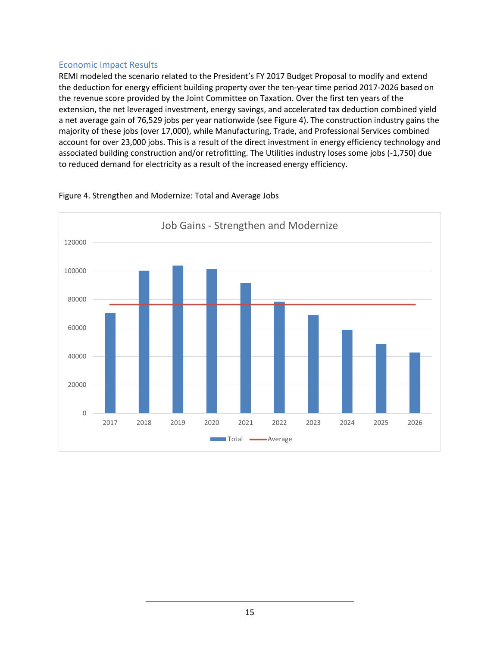### Economic Impact Results

REMI modeled the scenario related to the President's FY 2017 Budget Proposal to modify and extend the deduction for energy efficient building property over the ten-year time period 2017-2026 based on the revenue score provided by the Joint Committee on Taxation. Over the first ten years of the extension, the net leveraged investment, energy savings, and accelerated tax deduction combined yield a net average gain of 76,529 jobs per year nationwide (see Figure 4). The construction industry gains the majority of these jobs (over 17,000), while Manufacturing, Trade, and Professional Services combined account for over 23,000 jobs. This is a result of the direct investment in energy efficiency technology and associated building construction and/or retrofitting. The Utilities industry loses some jobs (-1,750) due to reduced demand for electricity as a result of the increased energy efficiency.



Figure 4. Strengthen and Modernize: Total and Average Jobs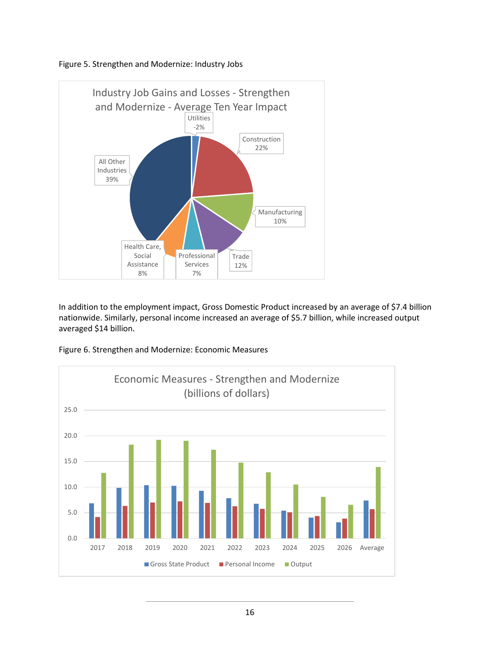



In addition to the employment impact, Gross Domestic Product increased by an average of \$7.4 billion nationwide. Similarly, personal income increased an average of \$5.7 billion, while increased output averaged \$14 billion.

Figure 6. Strengthen and Modernize: Economic Measures

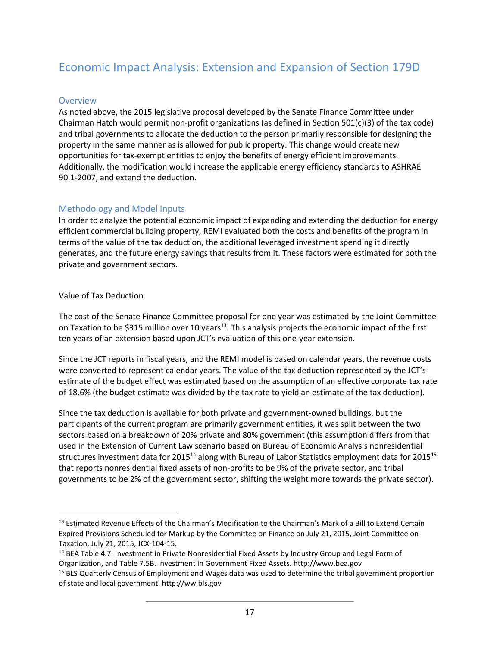# Economic Impact Analysis: Extension and Expansion of Section 179D

### **Overview**

As noted above, the 2015 legislative proposal developed by the Senate Finance Committee under Chairman Hatch would permit non-profit organizations (as defined in Section 501(c)(3) of the tax code) and tribal governments to allocate the deduction to the person primarily responsible for designing the property in the same manner as is allowed for public property. This change would create new opportunities for tax-exempt entities to enjoy the benefits of energy efficient improvements. Additionally, the modification would increase the applicable energy efficiency standards to ASHRAE 90.1-2007, and extend the deduction.

### Methodology and Model Inputs

In order to analyze the potential economic impact of expanding and extending the deduction for energy efficient commercial building property, REMI evaluated both the costs and benefits of the program in terms of the value of the tax deduction, the additional leveraged investment spending it directly generates, and the future energy savings that results from it. These factors were estimated for both the private and government sectors.

### Value of Tax Deduction

 $\overline{\phantom{a}}$ 

The cost of the Senate Finance Committee proposal for one year was estimated by the Joint Committee on Taxation to be \$315 million over 10 years<sup>13</sup>. This analysis projects the economic impact of the first ten years of an extension based upon JCT's evaluation of this one-year extension.

Since the JCT reports in fiscal years, and the REMI model is based on calendar years, the revenue costs were converted to represent calendar years. The value of the tax deduction represented by the JCT's estimate of the budget effect was estimated based on the assumption of an effective corporate tax rate of 18.6% (the budget estimate was divided by the tax rate to yield an estimate of the tax deduction).

Since the tax deduction is available for both private and government-owned buildings, but the participants of the current program are primarily government entities, it was split between the two sectors based on a breakdown of 20% private and 80% government (this assumption differs from that used in the Extension of Current Law scenario based on Bureau of Economic Analysis nonresidential structures investment data for 2015<sup>14</sup> along with Bureau of Labor Statistics employment data for 2015<sup>15</sup> that reports nonresidential fixed assets of non-profits to be 9% of the private sector, and tribal governments to be 2% of the government sector, shifting the weight more towards the private sector).

<sup>&</sup>lt;sup>13</sup> Estimated Revenue Effects of the Chairman's Modification to the Chairman's Mark of a Bill to Extend Certain Expired Provisions Scheduled for Markup by the Committee on Finance on July 21, 2015, Joint Committee on Taxation, July 21, 2015, JCX-104-15.

<sup>&</sup>lt;sup>14</sup> BEA Table 4.7. Investment in Private Nonresidential Fixed Assets by Industry Group and Legal Form of Organization, and Table 7.5B. Investment in Government Fixed Assets. http://www.bea.gov

<sup>&</sup>lt;sup>15</sup> BLS Quarterly Census of Employment and Wages data was used to determine the tribal government proportion of state and local government. http://ww.bls.gov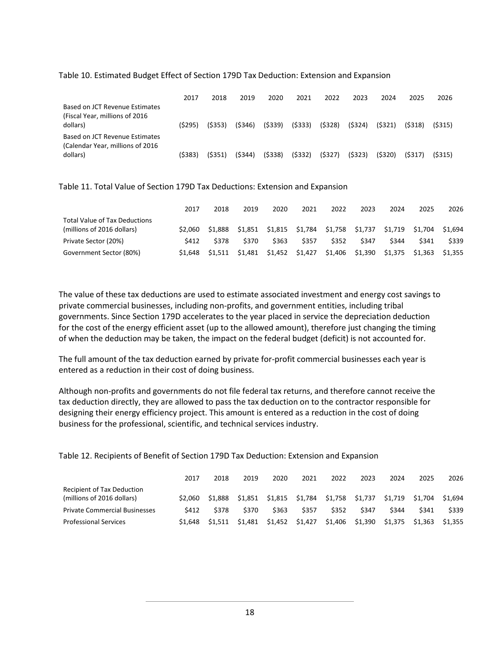### Table 10. Estimated Budget Effect of Section 179D Tax Deduction: Extension and Expansion

|                                                                                 | 2017    | 2018    | 2019    | 2020   | 2021   | 2022   | 2023   | 2024   | 2025   | 2026   |
|---------------------------------------------------------------------------------|---------|---------|---------|--------|--------|--------|--------|--------|--------|--------|
| Based on JCT Revenue Estimates<br>(Fiscal Year, millions of 2016)<br>dollars)   | (\$295) | (5353)  | (\$346) | (5339) | (5333) | (5328) | (5324) | (5321) | (5318) | (5315) |
| Based on JCT Revenue Estimates<br>(Calendar Year, millions of 2016)<br>dollars) | (\$383) | (\$351) | (\$344) | (5338) | (5332) | (5327) | (5323) | (5320) | (5317) | (5315) |

### Table 11. Total Value of Section 179D Tax Deductions: Extension and Expansion

|                               | 2017    | 2018    | 2019    | 2020    | 2021  | 2022            | 2023    | 2024    | 2025                                                                    | 2026    |
|-------------------------------|---------|---------|---------|---------|-------|-----------------|---------|---------|-------------------------------------------------------------------------|---------|
| Total Value of Tax Deductions |         |         |         |         |       |                 |         |         |                                                                         |         |
| (millions of 2016 dollars)    | \$2.060 |         |         |         |       |                 |         |         | \$1,888 \$1,851 \$1,815 \$1,784 \$1,758 \$1,737 \$1,719 \$1,704 \$1,694 |         |
| Private Sector (20%)          | S412    | \$378   | \$370   | \$363   | \$357 | \$352           | \$347   | \$344   | \$341                                                                   | \$339   |
| Government Sector (80%)       | \$1.648 | \$1.511 | \$1.481 | \$1,452 |       | \$1,427 \$1,406 | \$1,390 | \$1,375 | \$1,363                                                                 | \$1,355 |

The value of these tax deductions are used to estimate associated investment and energy cost savings to private commercial businesses, including non-profits, and government entities, including tribal governments. Since Section 179D accelerates to the year placed in service the depreciation deduction for the cost of the energy efficient asset (up to the allowed amount), therefore just changing the timing of when the deduction may be taken, the impact on the federal budget (deficit) is not accounted for.

The full amount of the tax deduction earned by private for-profit commercial businesses each year is entered as a reduction in their cost of doing business.

Although non-profits and governments do not file federal tax returns, and therefore cannot receive the tax deduction directly, they are allowed to pass the tax deduction on to the contractor responsible for designing their energy efficiency project. This amount is entered as a reduction in the cost of doing business for the professional, scientific, and technical services industry.

Table 12. Recipients of Benefit of Section 179D Tax Deduction: Extension and Expansion

|                                                          | 2017        | 2018    | 2019    | 2020                                    | 2021    | 2022    | 2023    | 2024    | 2025            | 2026    |
|----------------------------------------------------------|-------------|---------|---------|-----------------------------------------|---------|---------|---------|---------|-----------------|---------|
| Recipient of Tax Deduction<br>(millions of 2016 dollars) | \$2.060     | \$1.888 |         | \$1,851 \$1,815 \$1,784 \$1,758 \$1,737 |         |         |         |         | \$1,719 \$1,704 | \$1.694 |
| <b>Private Commercial Businesses</b>                     | <b>S412</b> | \$378   | \$370   | \$363                                   | \$357   | \$352   | \$347   | \$344   | \$341           | \$339   |
| <b>Professional Services</b>                             | \$1.648     | \$1.511 | \$1.481 | \$1,452                                 | \$1,427 | \$1,406 | \$1,390 | \$1,375 | \$1.363         | \$1.355 |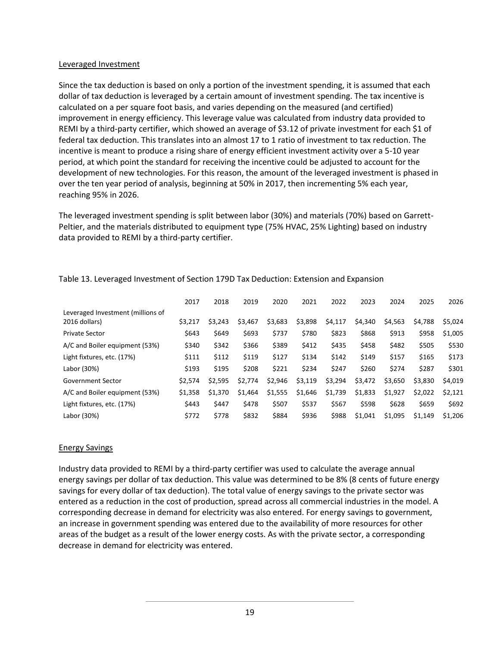### Leveraged Investment

Since the tax deduction is based on only a portion of the investment spending, it is assumed that each dollar of tax deduction is leveraged by a certain amount of investment spending. The tax incentive is calculated on a per square foot basis, and varies depending on the measured (and certified) improvement in energy efficiency. This leverage value was calculated from industry data provided to REMI by a third-party certifier, which showed an average of \$3.12 of private investment for each \$1 of federal tax deduction. This translates into an almost 17 to 1 ratio of investment to tax reduction. The incentive is meant to produce a rising share of energy efficient investment activity over a 5-10 year period, at which point the standard for receiving the incentive could be adjusted to account for the development of new technologies. For this reason, the amount of the leveraged investment is phased in over the ten year period of analysis, beginning at 50% in 2017, then incrementing 5% each year, reaching 95% in 2026.

The leveraged investment spending is split between labor (30%) and materials (70%) based on Garrett-Peltier, and the materials distributed to equipment type (75% HVAC, 25% Lighting) based on industry data provided to REMI by a third-party certifier.

|                                   | 2017    | 2018    | 2019    | 2020    | 2021    | 2022    | 2023    | 2024    | 2025    | 2026    |
|-----------------------------------|---------|---------|---------|---------|---------|---------|---------|---------|---------|---------|
| Leveraged Investment (millions of |         |         |         |         |         |         |         |         |         |         |
| 2016 dollars)                     | \$3.217 | \$3,243 | \$3,467 | \$3,683 | \$3,898 | \$4,117 | \$4,340 | \$4,563 | \$4,788 | \$5,024 |
| <b>Private Sector</b>             | \$643   | \$649   | \$693   | \$737   | \$780   | \$823   | \$868   | \$913   | \$958   | \$1,005 |
| A/C and Boiler equipment (53%)    | \$340   | \$342   | \$366   | \$389   | \$412   | \$435   | \$458   | \$482   | \$505   | \$530   |
| Light fixtures, etc. (17%)        | \$111   | \$112   | \$119   | \$127   | \$134   | \$142   | \$149   | \$157   | \$165   | \$173   |
| Labor (30%)                       | \$193   | \$195   | \$208   | \$221   | \$234   | \$247   | \$260   | \$274   | \$287   | \$301   |
| <b>Government Sector</b>          | \$2.574 | \$2,595 | \$2.774 | \$2,946 | \$3,119 | \$3,294 | \$3,472 | \$3,650 | \$3,830 | \$4.019 |
| A/C and Boiler equipment (53%)    | \$1.358 | \$1,370 | \$1,464 | \$1,555 | \$1,646 | \$1,739 | \$1,833 | \$1,927 | \$2,022 | \$2.121 |
| Light fixtures, etc. (17%)        | \$443   | \$447   | \$478   | \$507   | \$537   | \$567   | \$598   | \$628   | \$659   | \$692   |
| Labor (30%)                       | \$772   | \$778   | \$832   | \$884   | \$936   | \$988   | \$1,041 | \$1,095 | \$1,149 | \$1,206 |

### Table 13. Leveraged Investment of Section 179D Tax Deduction: Extension and Expansion

### Energy Savings

Industry data provided to REMI by a third-party certifier was used to calculate the average annual energy savings per dollar of tax deduction. This value was determined to be 8% (8 cents of future energy savings for every dollar of tax deduction). The total value of energy savings to the private sector was entered as a reduction in the cost of production, spread across all commercial industries in the model. A corresponding decrease in demand for electricity was also entered. For energy savings to government, an increase in government spending was entered due to the availability of more resources for other areas of the budget as a result of the lower energy costs. As with the private sector, a corresponding decrease in demand for electricity was entered.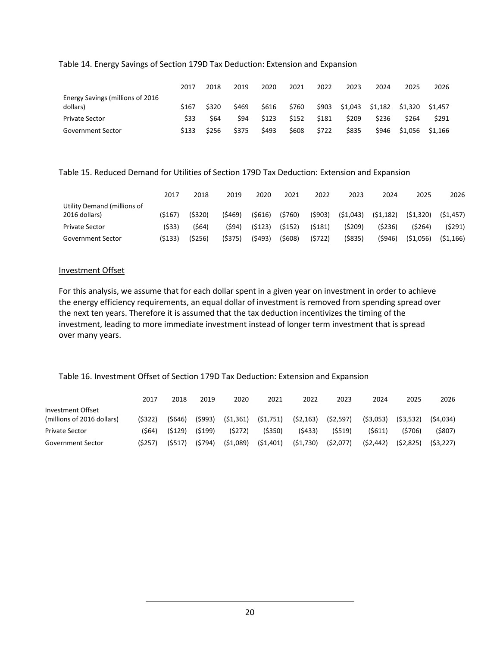#### Table 14. Energy Savings of Section 179D Tax Deduction: Extension and Expansion

|                                  | 2017  | 2018  | 2019  | 2020  | 2021  | 2022  | 2023  | 2024                    | 2025    | 2026    |
|----------------------------------|-------|-------|-------|-------|-------|-------|-------|-------------------------|---------|---------|
| Energy Savings (millions of 2016 |       |       |       |       |       |       |       |                         |         |         |
| dollars)                         | \$167 | \$320 | \$469 | \$616 | \$760 | \$903 |       | \$1,043 \$1,182 \$1,320 |         | \$1.457 |
| <b>Private Sector</b>            | \$33  | \$64  | \$94  | \$123 | \$152 | \$181 | \$209 | \$236                   | \$264   | \$291   |
| <b>Government Sector</b>         | \$133 | \$256 | \$375 | \$493 | \$608 | \$722 | \$835 | \$946                   | \$1,056 | \$1,166 |

### Table 15. Reduced Demand for Utilities of Section 179D Tax Deduction: Extension and Expansion

|                             | 2017    | 2018    | 2019    | 2020    | 2021    | 2022   | 2023     | 2024      | 2025     | 2026      |
|-----------------------------|---------|---------|---------|---------|---------|--------|----------|-----------|----------|-----------|
| Utility Demand (millions of |         |         |         |         |         |        |          |           |          |           |
| 2016 dollars)               | (\$167) | (\$320) | (\$469) | (5616)  | (\$760) | (5903) | (51,043) | (51, 182) | (51,320) | (51.457)  |
| <b>Private Sector</b>       | (\$33)  | (\$64)  | (\$94)  | (5123)  | (5152)  | (5181) | (5209)   | (\$236)   | (5264)   | (\$291)   |
| <b>Government Sector</b>    | (S133)  | (\$256) | (5375)  | (\$493) | (\$608) | (5722) | (\$835)  | (\$946)   | (51,056) | (51, 166) |

### Investment Offset

For this analysis, we assume that for each dollar spent in a given year on investment in order to achieve the energy efficiency requirements, an equal dollar of investment is removed from spending spread over the next ten years. Therefore it is assumed that the tax deduction incentivizes the timing of the investment, leading to more immediate investment instead of longer term investment that is spread over many years.

### Table 16. Investment Offset of Section 179D Tax Deduction: Extension and Expansion

|                            | 2017   | 2018   | 2019   | 2020     | 2021       | 2022      | 2023      | 2024       | 2025      | 2026      |
|----------------------------|--------|--------|--------|----------|------------|-----------|-----------|------------|-----------|-----------|
| Investment Offset          |        |        |        |          |            |           |           |            |           |           |
| (millions of 2016 dollars) | (5322) | (5646) | (5993) | (51,361) | (\$1,751)  | (\$2,163) | (\$2,597) | ( \$3,053) | (53.532)  | (\$4,034) |
| <b>Private Sector</b>      | (S64)  | (5129) | (5199) | (5272)   | $($ \$350) | (5433)    | (5519)    | (5611)     | (5706)    | (\$807)   |
| Government Sector          | (5257) | (5517) | (5794) | (51,089) | (51, 401)  | (51,730)  | (52,077)  | (52, 442)  | (52, 825) | (53, 227) |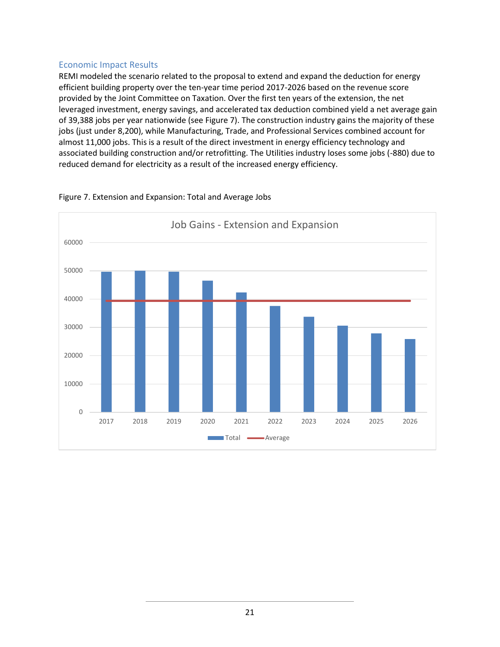### Economic Impact Results

REMI modeled the scenario related to the proposal to extend and expand the deduction for energy efficient building property over the ten-year time period 2017-2026 based on the revenue score provided by the Joint Committee on Taxation. Over the first ten years of the extension, the net leveraged investment, energy savings, and accelerated tax deduction combined yield a net average gain of 39,388 jobs per year nationwide (see Figure 7). The construction industry gains the majority of these jobs (just under 8,200), while Manufacturing, Trade, and Professional Services combined account for almost 11,000 jobs. This is a result of the direct investment in energy efficiency technology and associated building construction and/or retrofitting. The Utilities industry loses some jobs (-880) due to reduced demand for electricity as a result of the increased energy efficiency.



### Figure 7. Extension and Expansion: Total and Average Jobs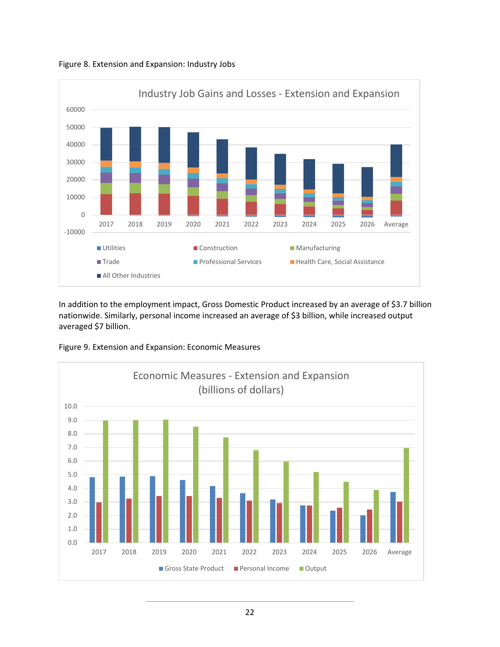

Figure 8. Extension and Expansion: Industry Jobs

In addition to the employment impact, Gross Domestic Product increased by an average of \$3.7 billion nationwide. Similarly, personal income increased an average of \$3 billion, while increased output averaged \$7 billion.



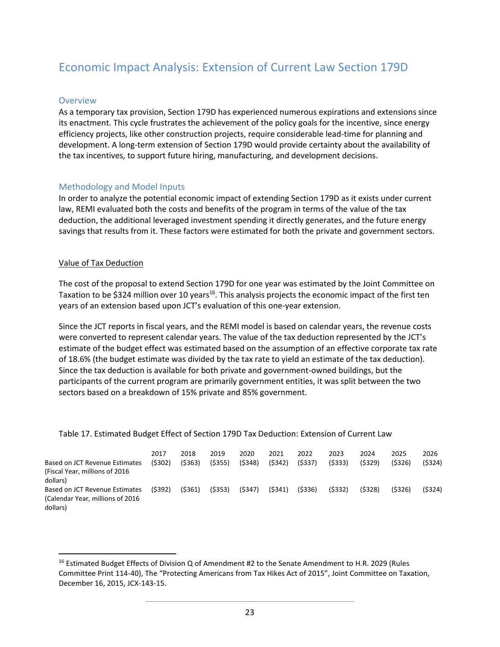# Economic Impact Analysis: Extension of Current Law Section 179D

### **Overview**

As a temporary tax provision, Section 179D has experienced numerous expirations and extensions since its enactment. This cycle frustrates the achievement of the policy goals for the incentive, since energy efficiency projects, like other construction projects, require considerable lead-time for planning and development. A long-term extension of Section 179D would provide certainty about the availability of the tax incentives, to support future hiring, manufacturing, and development decisions.

### Methodology and Model Inputs

In order to analyze the potential economic impact of extending Section 179D as it exists under current law, REMI evaluated both the costs and benefits of the program in terms of the value of the tax deduction, the additional leveraged investment spending it directly generates, and the future energy savings that results from it. These factors were estimated for both the private and government sectors.

### Value of Tax Deduction

 $\overline{\phantom{a}}$ 

The cost of the proposal to extend Section 179D for one year was estimated by the Joint Committee on Taxation to be \$324 million over 10 years<sup>16</sup>. This analysis projects the economic impact of the first ten years of an extension based upon JCT's evaluation of this one-year extension.

Since the JCT reports in fiscal years, and the REMI model is based on calendar years, the revenue costs were converted to represent calendar years. The value of the tax deduction represented by the JCT's estimate of the budget effect was estimated based on the assumption of an effective corporate tax rate of 18.6% (the budget estimate was divided by the tax rate to yield an estimate of the tax deduction). Since the tax deduction is available for both private and government-owned buildings, but the participants of the current program are primarily government entities, it was split between the two sectors based on a breakdown of 15% private and 85% government.

| Based on JCT Revenue Estimates<br>(Fiscal Year, millions of 2016)<br>dollars)   | 2017<br>(\$302) | 2018<br>(\$363) | 2019<br>$($ \$355) | 2020<br>(\$348) | 2021<br>(\$342) | 2022<br>(5337) | 2023<br>(\$333) | 2024<br>(5329) | 2025<br>(5326) | 2026<br>(5324) |
|---------------------------------------------------------------------------------|-----------------|-----------------|--------------------|-----------------|-----------------|----------------|-----------------|----------------|----------------|----------------|
| Based on JCT Revenue Estimates<br>(Calendar Year, millions of 2016)<br>dollars) | (\$392)         | (\$361)         | (5353)             | (5347)          | (5341)          | (5336)         | (5332)          | (5328)         | (5326)         | (5324)         |

<sup>&</sup>lt;sup>16</sup> Estimated Budget Effects of Division Q of Amendment #2 to the Senate Amendment to H.R. 2029 (Rules Committee Print 114-40), The "Protecting Americans from Tax Hikes Act of 2015", Joint Committee on Taxation, December 16, 2015, JCX-143-15.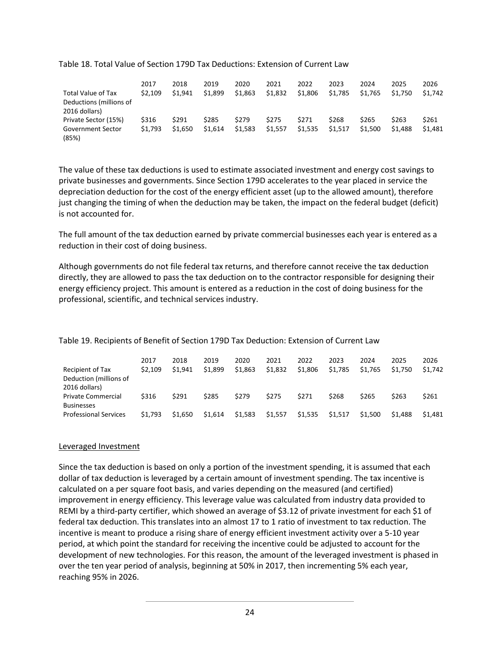|  | Table 18. Total Value of Section 179D Tax Deductions: Extension of Current Law |
|--|--------------------------------------------------------------------------------|
|--|--------------------------------------------------------------------------------|

| <b>Total Value of Tax</b>                | 2017<br>\$2.109 | 2018<br>\$1.941 | 2019<br>\$1.899 | 2020<br>\$1.863 | 2021<br>\$1,832 | 2022<br>\$1,806 | 2023<br>\$1,785 | 2024<br>\$1.765 | 2025<br>\$1.750 | 2026<br>\$1.742 |
|------------------------------------------|-----------------|-----------------|-----------------|-----------------|-----------------|-----------------|-----------------|-----------------|-----------------|-----------------|
| Deductions (millions of<br>2016 dollars) |                 |                 |                 |                 |                 |                 |                 |                 |                 |                 |
| Private Sector (15%)                     | \$316           | \$291           | \$285           | \$279           | \$275           | \$271           | \$268           | \$265           | \$263           | \$261           |
| <b>Government Sector</b><br>(85%)        | \$1.793         | \$1.650         | \$1.614         | \$1.583         | \$1,557         | \$1,535         | \$1,517         | \$1.500         | \$1,488         | \$1.481         |

The value of these tax deductions is used to estimate associated investment and energy cost savings to private businesses and governments. Since Section 179D accelerates to the year placed in service the depreciation deduction for the cost of the energy efficient asset (up to the allowed amount), therefore just changing the timing of when the deduction may be taken, the impact on the federal budget (deficit) is not accounted for.

The full amount of the tax deduction earned by private commercial businesses each year is entered as a reduction in their cost of doing business.

Although governments do not file federal tax returns, and therefore cannot receive the tax deduction directly, they are allowed to pass the tax deduction on to the contractor responsible for designing their energy efficiency project. This amount is entered as a reduction in the cost of doing business for the professional, scientific, and technical services industry.

| Recipient of Tax<br>Deduction (millions of                      | 2017<br>\$2.109 | 2018<br>\$1.941 | 2019<br>\$1.899 | 2020<br>\$1,863 | 2021<br>\$1,832 | 2022<br>\$1,806 | 2023<br>\$1,785 | 2024<br>\$1,765 | 2025<br>\$1.750 | 2026<br>\$1.742 |
|-----------------------------------------------------------------|-----------------|-----------------|-----------------|-----------------|-----------------|-----------------|-----------------|-----------------|-----------------|-----------------|
| 2016 dollars)<br><b>Private Commercial</b><br><b>Businesses</b> | \$316           | \$291           | \$285           | \$279           | \$275           | \$271           | \$268           | \$265           | \$263           | \$261           |
| <b>Professional Services</b>                                    | \$1,793         | \$1.650         | \$1,614         | \$1,583         | \$1,557         | \$1,535         | \$1,517         | \$1,500         | \$1.488         | S1.481          |

### Table 19. Recipients of Benefit of Section 179D Tax Deduction: Extension of Current Law

### Leveraged Investment

Since the tax deduction is based on only a portion of the investment spending, it is assumed that each dollar of tax deduction is leveraged by a certain amount of investment spending. The tax incentive is calculated on a per square foot basis, and varies depending on the measured (and certified) improvement in energy efficiency. This leverage value was calculated from industry data provided to REMI by a third-party certifier, which showed an average of \$3.12 of private investment for each \$1 of federal tax deduction. This translates into an almost 17 to 1 ratio of investment to tax reduction. The incentive is meant to produce a rising share of energy efficient investment activity over a 5-10 year period, at which point the standard for receiving the incentive could be adjusted to account for the development of new technologies. For this reason, the amount of the leveraged investment is phased in over the ten year period of analysis, beginning at 50% in 2017, then incrementing 5% each year, reaching 95% in 2026.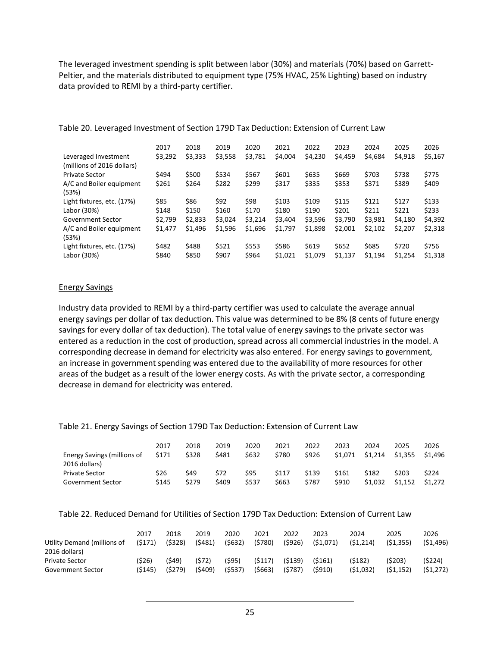The leveraged investment spending is split between labor (30%) and materials (70%) based on Garrett-Peltier, and the materials distributed to equipment type (75% HVAC, 25% Lighting) based on industry data provided to REMI by a third-party certifier.

| Leveraged Investment       | 2017<br>\$3,292 | 2018<br>\$3,333 | 2019<br>\$3,558 | 2020<br>\$3,781 | 2021<br>\$4,004 | 2022<br>\$4,230 | 2023<br>\$4,459 | 2024<br>\$4,684 | 2025<br>\$4,918 | 2026<br>\$5,167 |
|----------------------------|-----------------|-----------------|-----------------|-----------------|-----------------|-----------------|-----------------|-----------------|-----------------|-----------------|
| (millions of 2016 dollars) |                 |                 |                 |                 |                 |                 |                 |                 |                 |                 |
| <b>Private Sector</b>      | \$494           | \$500           | \$534           | \$567           | \$601           | \$635           | \$669           | \$703           | \$738           | \$775           |
| A/C and Boiler equipment   | \$261           | \$264           | \$282           | \$299           | \$317           | \$335           | \$353           | \$371           | \$389           | \$409           |
| (53%)                      |                 |                 |                 |                 |                 |                 |                 |                 |                 |                 |
| Light fixtures, etc. (17%) | \$85            | \$86            | \$92            | \$98            | \$103           | \$109           | \$115           | \$121           | \$127           | \$133           |
| Labor (30%)                | \$148           | \$150           | \$160           | \$170           | \$180           | \$190           | \$201           | \$211           | \$221           | \$233           |
| Government Sector          | \$2.799         | \$2.833         | \$3.024         | \$3.214         | \$3.404         | \$3.596         | \$3.790         | \$3.981         | \$4.180         | \$4,392         |
| A/C and Boiler equipment   | \$1,477         | \$1.496         | \$1,596         | \$1,696         | \$1,797         | \$1,898         | \$2,001         | \$2,102         | \$2,207         | \$2,318         |
| (53%)                      |                 |                 |                 |                 |                 |                 |                 |                 |                 |                 |
| Light fixtures, etc. (17%) | \$482           | \$488           | \$521           | \$553           | \$586           | \$619           | \$652           | \$685           | \$720           | \$756           |
| Labor (30%)                | \$840           | \$850           | \$907           | \$964           | \$1.021         | \$1.079         | \$1.137         | \$1.194         | \$1.254         | \$1.318         |

Table 20. Leveraged Investment of Section 179D Tax Deduction: Extension of Current Law

### Energy Savings

Industry data provided to REMI by a third-party certifier was used to calculate the average annual energy savings per dollar of tax deduction. This value was determined to be 8% (8 cents of future energy savings for every dollar of tax deduction). The total value of energy savings to the private sector was entered as a reduction in the cost of production, spread across all commercial industries in the model. A corresponding decrease in demand for electricity was also entered. For energy savings to government, an increase in government spending was entered due to the availability of more resources for other areas of the budget as a result of the lower energy costs. As with the private sector, a corresponding decrease in demand for electricity was entered.

#### Table 21. Energy Savings of Section 179D Tax Deduction: Extension of Current Law

| Energy Savings (millions of | 2017  | 2018  | 2019  | 2020  | 2021  | 2022  | 2023    | 2024    | 2025    | 2026    |
|-----------------------------|-------|-------|-------|-------|-------|-------|---------|---------|---------|---------|
| 2016 dollars)               | \$171 | \$328 | \$481 | \$632 | \$780 | \$926 | \$1.071 | \$1.214 | \$1.355 | \$1.496 |
| <b>Private Sector</b>       | \$26  | \$49  | \$72  | \$95  | \$117 | \$139 | \$161   | \$182   | \$203   | \$224   |
| Government Sector           | \$145 | \$279 | \$409 | \$537 | \$663 | \$787 | \$910   | \$1.032 | \$1.152 | \$1.272 |

#### Table 22. Reduced Demand for Utilities of Section 179D Tax Deduction: Extension of Current Law

| Utility Demand (millions of                                 | 2017              | 2018             | 2019            | 2020             | 2021              | 2022             | 2023             | 2024                | 2025                | 2026                |
|-------------------------------------------------------------|-------------------|------------------|-----------------|------------------|-------------------|------------------|------------------|---------------------|---------------------|---------------------|
|                                                             | (5171)            | (5328)           | (5481)          | (\$632)          | (5780)            | (5926)           | (51,071)         | (51, 214)           | (51.355)            | (51, 496)           |
| 2016 dollars)<br><b>Private Sector</b><br>Government Sector | (\$26)<br>(\$145) | (\$49)<br>(5279) | (572)<br>(5409) | (595)<br>(\$537) | (5117)<br>(\$663) | (5139)<br>(5787) | (5161)<br>(5910) | (\$182)<br>(51.032) | (\$203)<br>(51.152) | (\$224)<br>(S1.272) |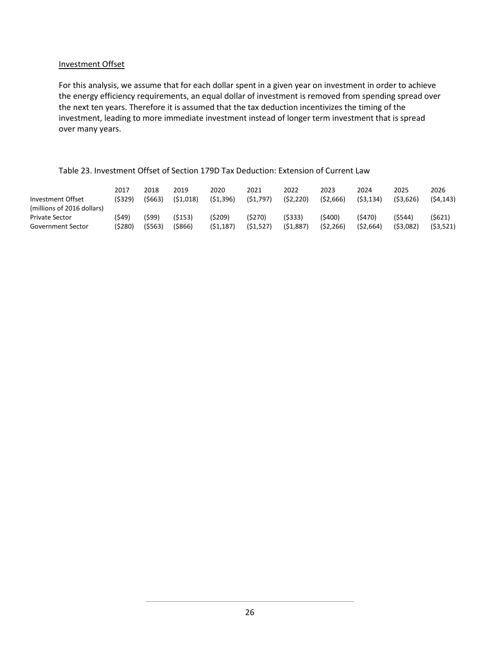### Investment Offset

For this analysis, we assume that for each dollar spent in a given year on investment in order to achieve the energy efficiency requirements, an equal dollar of investment is removed from spending spread over the next ten years. Therefore it is assumed that the tax deduction incentivizes the timing of the investment, leading to more immediate investment instead of longer term investment that is spread over many years.

### Table 23. Investment Offset of Section 179D Tax Deduction: Extension of Current Law

|                            | 2017    | 2018    | 2019     | 2020      | 2021     | 2022      | 2023     | 2024      | 2025     | 2026      |
|----------------------------|---------|---------|----------|-----------|----------|-----------|----------|-----------|----------|-----------|
| Investment Offset          | (\$329) | (\$663) | (51.018) | (51.396)  | (51,797) | (52, 220) | (52.666) | (53, 134) | (53.626) | (\$4.143) |
| (millions of 2016 dollars) |         |         |          |           |          |           |          |           |          |           |
| <b>Private Sector</b>      | 'S49)   | (\$99)  | (5153)   | (\$209)   | (\$270)  | (\$333)   | (\$400)  | (\$470)   | (\$544)  | (\$621)   |
| Government Sector          | (\$280) | (\$563) | (\$866)  | (51, 187) | (51.527) | (51.887)  | (52.266) | (52,664)  | (53.082) | (\$3.521) |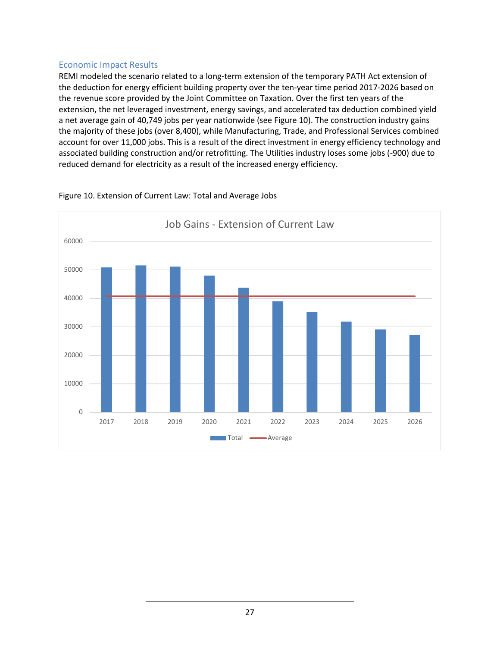### Economic Impact Results

REMI modeled the scenario related to a long-term extension of the temporary PATH Act extension of the deduction for energy efficient building property over the ten-year time period 2017-2026 based on the revenue score provided by the Joint Committee on Taxation. Over the first ten years of the extension, the net leveraged investment, energy savings, and accelerated tax deduction combined yield a net average gain of 40,749 jobs per year nationwide (see Figure 10). The construction industry gains the majority of these jobs (over 8,400), while Manufacturing, Trade, and Professional Services combined account for over 11,000 jobs. This is a result of the direct investment in energy efficiency technology and associated building construction and/or retrofitting. The Utilities industry loses some jobs (-900) due to reduced demand for electricity as a result of the increased energy efficiency.



Figure 10. Extension of Current Law: Total and Average Jobs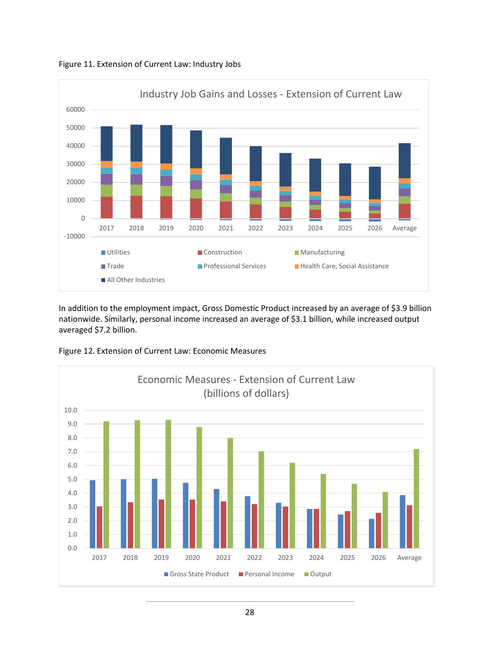

Figure 11. Extension of Current Law: Industry Jobs

In addition to the employment impact, Gross Domestic Product increased by an average of \$3.9 billion nationwide. Similarly, personal income increased an average of \$3.1 billion, while increased output averaged \$7.2 billion.



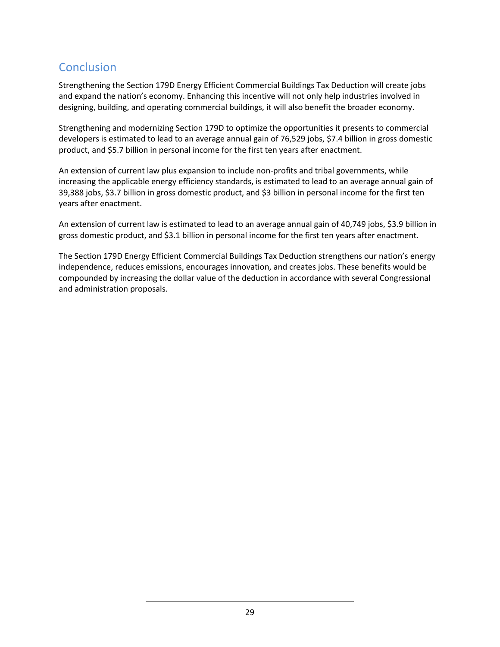# **Conclusion**

Strengthening the Section 179D Energy Efficient Commercial Buildings Tax Deduction will create jobs and expand the nation's economy. Enhancing this incentive will not only help industries involved in designing, building, and operating commercial buildings, it will also benefit the broader economy.

Strengthening and modernizing Section 179D to optimize the opportunities it presents to commercial developers is estimated to lead to an average annual gain of 76,529 jobs, \$7.4 billion in gross domestic product, and \$5.7 billion in personal income for the first ten years after enactment.

An extension of current law plus expansion to include non-profits and tribal governments, while increasing the applicable energy efficiency standards, is estimated to lead to an average annual gain of 39,388 jobs, \$3.7 billion in gross domestic product, and \$3 billion in personal income for the first ten years after enactment.

An extension of current law is estimated to lead to an average annual gain of 40,749 jobs, \$3.9 billion in gross domestic product, and \$3.1 billion in personal income for the first ten years after enactment.

The Section 179D Energy Efficient Commercial Buildings Tax Deduction strengthens our nation's energy independence, reduces emissions, encourages innovation, and creates jobs. These benefits would be compounded by increasing the dollar value of the deduction in accordance with several Congressional and administration proposals.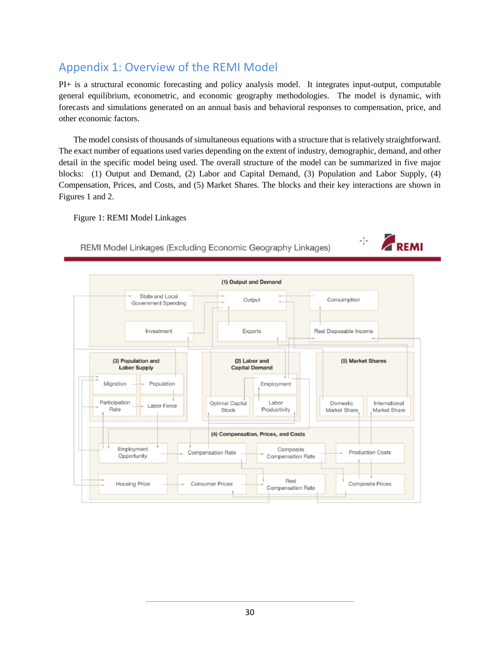# Appendix 1: Overview of the REMI Model

PI+ is a structural economic forecasting and policy analysis model. It integrates input-output, computable general equilibrium, econometric, and economic geography methodologies. The model is dynamic, with forecasts and simulations generated on an annual basis and behavioral responses to compensation, price, and other economic factors.

The model consists of thousands of simultaneous equations with a structure that is relatively straightforward. The exact number of equations used varies depending on the extent of industry, demographic, demand, and other detail in the specific model being used. The overall structure of the model can be summarized in five major blocks: (1) Output and Demand, (2) Labor and Capital Demand, (3) Population and Labor Supply, (4) Compensation, Prices, and Costs, and (5) Market Shares. The blocks and their key interactions are shown in Figures 1 and 2.

REMI

 $-\frac{1}{2}$ 

### Figure 1: REMI Model Linkages

REMI Model Linkages (Excluding Economic Geography Linkages)

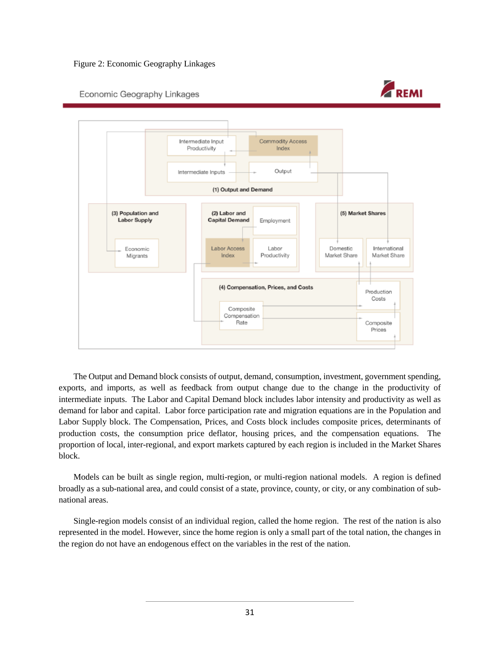### Figure 2: Economic Geography Linkages

![](_page_30_Figure_1.jpeg)

REMI

Economic Geography Linkages

The Output and Demand block consists of output, demand, consumption, investment, government spending, exports, and imports, as well as feedback from output change due to the change in the productivity of intermediate inputs. The Labor and Capital Demand block includes labor intensity and productivity as well as demand for labor and capital. Labor force participation rate and migration equations are in the Population and Labor Supply block. The Compensation, Prices, and Costs block includes composite prices, determinants of production costs, the consumption price deflator, housing prices, and the compensation equations. The proportion of local, inter-regional, and export markets captured by each region is included in the Market Shares block.

Models can be built as single region, multi-region, or multi-region national models. A region is defined broadly as a sub-national area, and could consist of a state, province, county, or city, or any combination of subnational areas.

Single-region models consist of an individual region, called the home region. The rest of the nation is also represented in the model. However, since the home region is only a small part of the total nation, the changes in the region do not have an endogenous effect on the variables in the rest of the nation.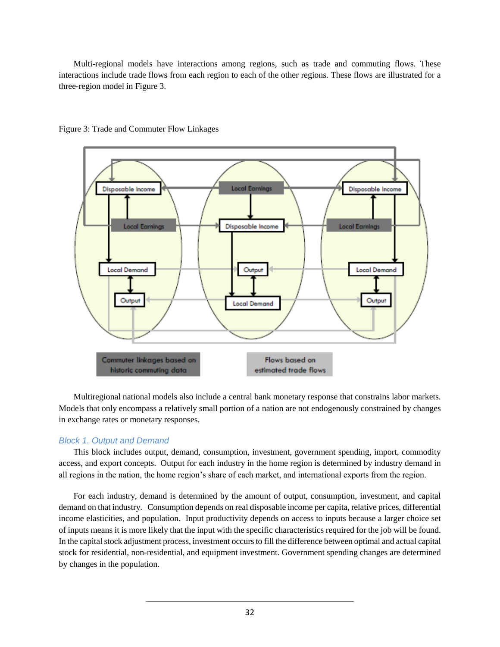Multi-regional models have interactions among regions, such as trade and commuting flows. These interactions include trade flows from each region to each of the other regions. These flows are illustrated for a three-region model in Figure 3.

![](_page_31_Figure_1.jpeg)

### Figure 3: Trade and Commuter Flow Linkages

Multiregional national models also include a central bank monetary response that constrains labor markets. Models that only encompass a relatively small portion of a nation are not endogenously constrained by changes in exchange rates or monetary responses.

### *Block 1. Output and Demand*

This block includes output, demand, consumption, investment, government spending, import, commodity access, and export concepts. Output for each industry in the home region is determined by industry demand in all regions in the nation, the home region's share of each market, and international exports from the region.

For each industry, demand is determined by the amount of output, consumption, investment, and capital demand on that industry. Consumption depends on real disposable income per capita, relative prices, differential income elasticities, and population. Input productivity depends on access to inputs because a larger choice set of inputs means it is more likely that the input with the specific characteristics required for the job will be found. In the capital stock adjustment process, investment occurs to fill the difference between optimal and actual capital stock for residential, non-residential, and equipment investment. Government spending changes are determined by changes in the population.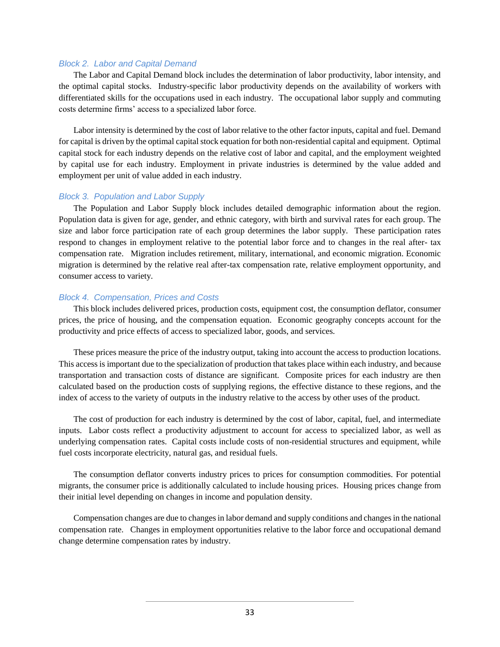#### *Block 2. Labor and Capital Demand*

The Labor and Capital Demand block includes the determination of labor productivity, labor intensity, and the optimal capital stocks. Industry-specific labor productivity depends on the availability of workers with differentiated skills for the occupations used in each industry. The occupational labor supply and commuting costs determine firms' access to a specialized labor force.

Labor intensity is determined by the cost of labor relative to the other factor inputs, capital and fuel. Demand for capital is driven by the optimal capital stock equation for both non-residential capital and equipment. Optimal capital stock for each industry depends on the relative cost of labor and capital, and the employment weighted by capital use for each industry. Employment in private industries is determined by the value added and employment per unit of value added in each industry.

### *Block 3. Population and Labor Supply*

The Population and Labor Supply block includes detailed demographic information about the region. Population data is given for age, gender, and ethnic category, with birth and survival rates for each group. The size and labor force participation rate of each group determines the labor supply. These participation rates respond to changes in employment relative to the potential labor force and to changes in the real after- tax compensation rate. Migration includes retirement, military, international, and economic migration. Economic migration is determined by the relative real after-tax compensation rate, relative employment opportunity, and consumer access to variety.

### *Block 4. Compensation, Prices and Costs*

This block includes delivered prices, production costs, equipment cost, the consumption deflator, consumer prices, the price of housing, and the compensation equation. Economic geography concepts account for the productivity and price effects of access to specialized labor, goods, and services.

These prices measure the price of the industry output, taking into account the access to production locations. This access is important due to the specialization of production that takes place within each industry, and because transportation and transaction costs of distance are significant. Composite prices for each industry are then calculated based on the production costs of supplying regions, the effective distance to these regions, and the index of access to the variety of outputs in the industry relative to the access by other uses of the product.

The cost of production for each industry is determined by the cost of labor, capital, fuel, and intermediate inputs. Labor costs reflect a productivity adjustment to account for access to specialized labor, as well as underlying compensation rates. Capital costs include costs of non-residential structures and equipment, while fuel costs incorporate electricity, natural gas, and residual fuels.

The consumption deflator converts industry prices to prices for consumption commodities. For potential migrants, the consumer price is additionally calculated to include housing prices. Housing prices change from their initial level depending on changes in income and population density.

Compensation changes are due to changes in labor demand and supply conditions and changes in the national compensation rate. Changes in employment opportunities relative to the labor force and occupational demand change determine compensation rates by industry.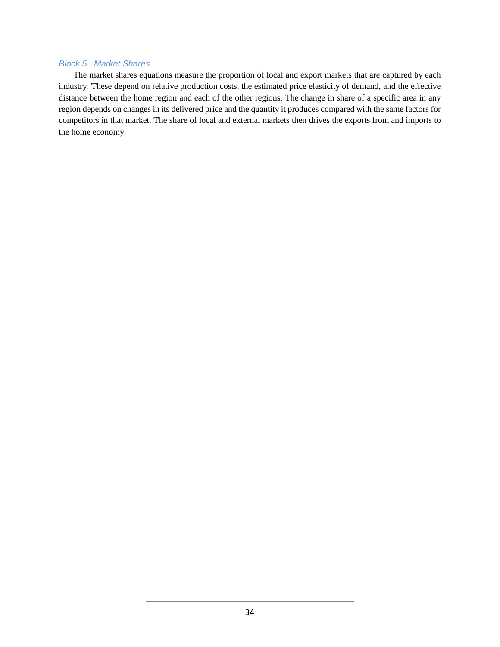### *Block 5. Market Shares*

The market shares equations measure the proportion of local and export markets that are captured by each industry. These depend on relative production costs, the estimated price elasticity of demand, and the effective distance between the home region and each of the other regions. The change in share of a specific area in any region depends on changes in its delivered price and the quantity it produces compared with the same factors for competitors in that market. The share of local and external markets then drives the exports from and imports to the home economy.